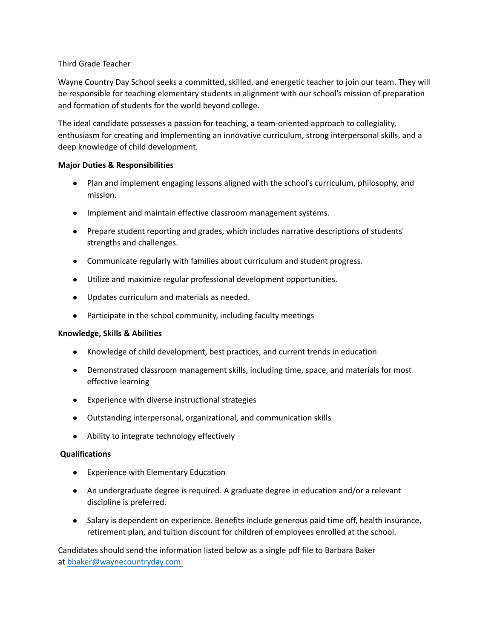## Third Grade Teacher

Wayne Country Day School seeks a committed, skilled, and energetic teacher to join our team. They will be responsible for teaching elementary students in alignment with our school's mission of preparation and formation of students for the world beyond college.

The ideal candidate possesses a passion for teaching, a team-oriented approach to collegiality, enthusiasm for creating and implementing an innovative curriculum, strong interpersonal skills, and a deep knowledge of child development.

## **Major Duties & Responsibilities**

- Plan and implement engaging lessons aligned with the school's curriculum, philosophy, and mission.
- Implement and maintain effective classroom management systems.
- Prepare student reporting and grades, which includes narrative descriptions of students' strengths and challenges.
- Communicate regularly with families about curriculum and student progress.
- Utilize and maximize regular professional development opportunities.
- Updates curriculum and materials as needed.
- Participate in the school community, including faculty meetings

## **Knowledge, Skills & Abilities**

- Knowledge of child development, best practices, and current trends in education
- Demonstrated classroom management skills, including time, space, and materials for most effective learning
- Experience with diverse instructional strategies
- Outstanding interpersonal, organizational, and communication skills
- Ability to integrate technology effectively

## **Qualifications**

- Experience with Elementary Education
- An undergraduate degree is required. A graduate degree in education and/or a relevant discipline is preferred.
- Salary is dependent on experience. Benefits include generous paid time off, health insurance, retirement plan, and tuition discount for children of employees enrolled at the school.

Candidates should send the information listed below as a single pdf file to Barbara Baker at bbaker@waynecountryday.com: